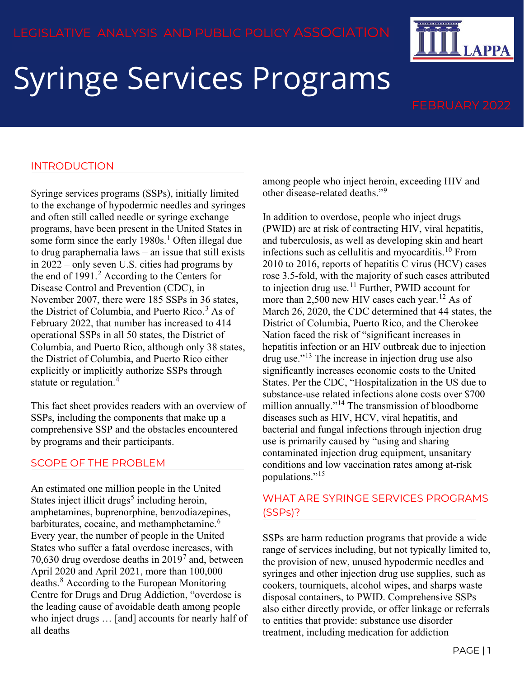# Syringe Services Programs

**LAPPA** 

### INTRODUCTION

Syringe services programs (SSPs), initially limited to the exchange of hypodermic needles and syringes and often still called needle or syringe exchange programs, have been present in the United States in some form since the early  $1980s<sup>1</sup>$  $1980s<sup>1</sup>$ . Often illegal due to drug paraphernalia laws – an issue that still exists in 2022 – only seven U.S. cities had programs by the end of 1991.<sup>[2](#page-2-1)</sup> According to the Centers for Disease Control and Prevention (CDC), in November 2007, there were 185 SSPs in 36 states, the District of Columbia, and Puerto Rico.<sup>[3](#page-2-2)</sup> As of February 2022, that number has increased to 414 operational SSPs in all 50 states, the District of Columbia, and Puerto Rico, although only 38 states, the District of Columbia, and Puerto Rico either explicitly or implicitly authorize SSPs through statute or regulation.<sup>[4](#page-2-3)</sup>

This fact sheet provides readers with an overview of SSPs, including the components that make up a comprehensive SSP and the obstacles encountered by programs and their participants.

### SCOPE OF THE PROBLEM

An estimated one million people in the United States inject illicit drugs<sup>[5](#page-2-4)</sup> including heroin, amphetamines, buprenorphine, benzodiazepines, barbiturates, cocaine, and methamphetamine.<sup>[6](#page-2-5)</sup> Every year, the number of people in the United States who suffer a fatal overdose increases, with [7](#page-2-6)0,630 drug overdose deaths in  $2019<sup>7</sup>$  and, between April 2020 and April 2021, more than 100,000 deaths.[8](#page-2-7) According to the European Monitoring Centre for Drugs and Drug Addiction, "overdose is the leading cause of avoidable death among people who inject drugs … [and] accounts for nearly half of all deaths

among people who inject heroin, exceeding HIV and other disease-related deaths."[9](#page-2-8)

In addition to overdose, people who inject drugs (PWID) are at risk of contracting HIV, viral hepatitis, and tuberculosis, as well as developing skin and heart infections such as cellulitis and myocarditis.[10](#page-2-9) From 2010 to 2016, reports of hepatitis C virus (HCV) cases rose 3.5-fold, with the majority of such cases attributed to injection drug use.<sup>[11](#page-2-10)</sup> Further, PWID account for more than 2,500 new HIV cases each year.<sup>[12](#page-2-11)</sup> As of March 26, 2020, the CDC determined that 44 states, the District of Columbia, Puerto Rico, and the Cherokee Nation faced the risk of "significant increases in hepatitis infection or an HIV outbreak due to injection drug use."[13](#page-2-12) The increase in injection drug use also significantly increases economic costs to the United States. Per the CDC, "Hospitalization in the US due to substance-use related infections alone costs over \$700 million annually."<sup>[14](#page-2-13)</sup> The transmission of bloodborne diseases such as HIV, HCV, viral hepatitis, and bacterial and fungal infections through injection drug use is primarily caused by "using and sharing contaminated injection drug equipment, unsanitary conditions and low vaccination rates among at-risk populations."[15](#page-2-14)

# WHAT ARE SYRINGE SERVICES PROGRAMS (SSPs)?

SSPs are harm reduction programs that provide a wide range of services including, but not typically limited to, the provision of new, unused hypodermic needles and syringes and other injection drug use supplies, such as cookers, tourniquets, alcohol wipes, and sharps waste disposal containers, to PWID. Comprehensive SSPs also either directly provide, or offer linkage or referrals to entities that provide: substance use disorder treatment, including medication for addiction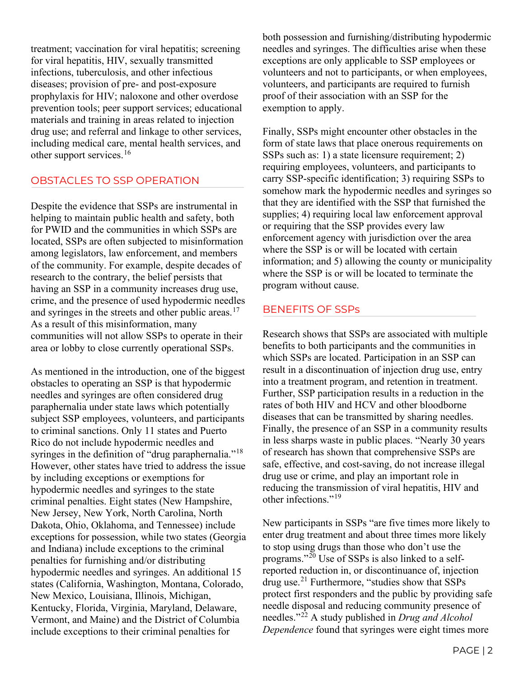treatment; vaccination for viral hepatitis; screening for viral hepatitis, HIV, sexually transmitted infections, tuberculosis, and other infectious diseases; provision of pre- and post-exposure prophylaxis for HIV; naloxone and other overdose prevention tools; peer support services; educational materials and training in areas related to injection drug use; and referral and linkage to other services, including medical care, mental health services, and other support services.<sup>[16](#page-3-0)</sup>

### OBSTACLES TO SSP OPERATION

Despite the evidence that SSPs are instrumental in helping to maintain public health and safety, both for PWID and the communities in which SSPs are located, SSPs are often subjected to misinformation among legislators, law enforcement, and members of the community. For example, despite decades of research to the contrary, the belief persists that having an SSP in a community increases drug use, crime, and the presence of used hypodermic needles and syringes in the streets and other public areas.<sup>[17](#page-3-1)</sup> As a result of this misinformation, many communities will not allow SSPs to operate in their area or lobby to close currently operational SSPs.

As mentioned in the introduction, one of the biggest obstacles to operating an SSP is that hypodermic needles and syringes are often considered drug paraphernalia under state laws which potentially subject SSP employees, volunteers, and participants to criminal sanctions. Only 11 states and Puerto Rico do not include hypodermic needles and syringes in the definition of "drug paraphernalia."<sup>[18](#page-3-2)</sup> However, other states have tried to address the issue by including exceptions or exemptions for hypodermic needles and syringes to the state criminal penalties. Eight states (New Hampshire, New Jersey, New York, North Carolina, North Dakota, Ohio, Oklahoma, and Tennessee) include exceptions for possession, while two states (Georgia and Indiana) include exceptions to the criminal penalties for furnishing and/or distributing hypodermic needles and syringes. An additional 15 states (California, Washington, Montana, Colorado, New Mexico, Louisiana, Illinois, Michigan, Kentucky, Florida, Virginia, Maryland, Delaware, Vermont, and Maine) and the District of Columbia include exceptions to their criminal penalties for

both possession and furnishing/distributing hypodermic needles and syringes. The difficulties arise when these exceptions are only applicable to SSP employees or volunteers and not to participants, or when employees, volunteers, and participants are required to furnish proof of their association with an SSP for the exemption to apply.

Finally, SSPs might encounter other obstacles in the form of state laws that place onerous requirements on SSPs such as: 1) a state licensure requirement; 2) requiring employees, volunteers, and participants to carry SSP-specific identification; 3) requiring SSPs to somehow mark the hypodermic needles and syringes so that they are identified with the SSP that furnished the supplies; 4) requiring local law enforcement approval or requiring that the SSP provides every law enforcement agency with jurisdiction over the area where the SSP is or will be located with certain information; and 5) allowing the county or municipality where the SSP is or will be located to terminate the program without cause.

### BENEFITS OF SSPs

Research shows that SSPs are associated with multiple benefits to both participants and the communities in which SSPs are located. Participation in an SSP can result in a discontinuation of injection drug use, entry into a treatment program, and retention in treatment. Further, SSP participation results in a reduction in the rates of both HIV and HCV and other bloodborne diseases that can be transmitted by sharing needles. Finally, the presence of an SSP in a community results in less sharps waste in public places. "Nearly 30 years of research has shown that comprehensive SSPs are safe, effective, and cost-saving, do not increase illegal drug use or crime, and play an important role in reducing the transmission of viral hepatitis, HIV and other infections."[19](#page-3-3)

New participants in SSPs "are five times more likely to enter drug treatment and about three times more likely to stop using drugs than those who don't use the programs." $^{20}$  $^{20}$  $^{20}$  Use of SSPs is also linked to a selfreported reduction in, or discontinuance of, injection drug use.[21](#page-3-5) Furthermore, "studies show that SSPs protect first responders and the public by providing safe needle disposal and reducing community presence of needles."[22](#page-3-6) A study published in *Drug and Alcohol Dependence* found that syringes were eight times more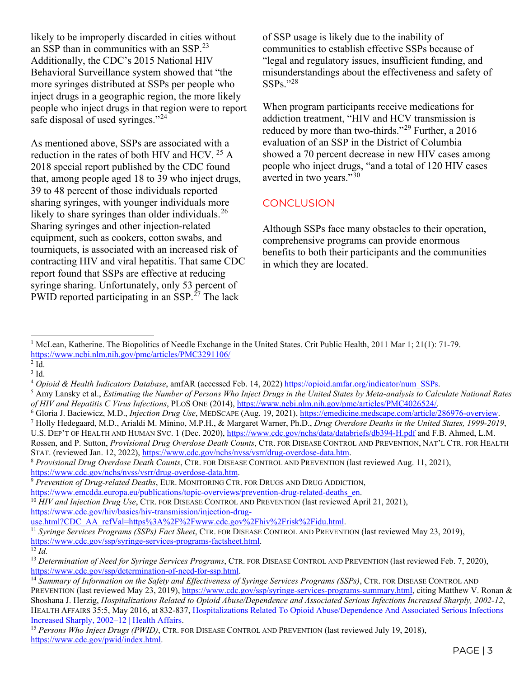likely to be improperly discarded in cities without an SSP than in communities with an SSP.[23](#page-3-7) Additionally, the CDC's 2015 National HIV Behavioral Surveillance system showed that "the more syringes distributed at SSPs per people who inject drugs in a geographic region, the more likely people who inject drugs in that region were to report safe disposal of used syringes."<sup>[24](#page-3-8)</sup>

As mentioned above, SSPs are associated with a reduction in the rates of both HIV and HCV.  $^{25}$  $^{25}$  $^{25}$  A 2018 special report published by the CDC found that, among people aged 18 to 39 who inject drugs, 39 to 48 percent of those individuals reported sharing syringes, with younger individuals more likely to share syringes than older individuals.<sup>[26](#page-3-10)</sup> Sharing syringes and other injection-related equipment, such as cookers, cotton swabs, and tourniquets, is associated with an increased risk of contracting HIV and viral hepatitis. That same CDC report found that SSPs are effective at reducing syringe sharing. Unfortunately, only 53 percent of PWID reported participating in an SSP.<sup>[27](#page-3-11)</sup> The lack

of SSP usage is likely due to the inability of communities to establish effective SSPs because of "legal and regulatory issues, insufficient funding, and misunderstandings about the effectiveness and safety of  $SSPs.$ "<sup>[28](#page-3-12)</sup>

When program participants receive medications for addiction treatment, "HIV and HCV transmission is reduced by more than two-thirds."[29](#page-3-13) Further, a 2016 evaluation of an SSP in the District of Columbia showed a 70 percent decrease in new HIV cases among people who inject drugs, "and a total of 120 HIV cases averted in two years."<sup>[30](#page-3-14)</sup>

## **CONCLUSION**

Although SSPs face many obstacles to their operation, comprehensive programs can provide enormous benefits to both their participants and the communities in which they are located.

- <span id="page-2-5"></span><sup>5</sup> Amy Lansky et al., *Estimating the Number of Persons Who Inject Drugs in the United States by Meta-analysis to Calculate National Rates* of HIV and Hepatitis C Virus Infections, PLOS ONE (2014), https://www.ncbi.nlm.nih.gov/pmc/articles/PMC4026524/.<br><sup>6</sup> Gloria J. Baciewicz, M.D., *Injection Drug Use*, MEDSCAPE (Aug. 19, 2021), https://emedicine.medscape.com
- 
- <span id="page-2-6"></span>U.S. DEP'T OF HEALTH AND HUMAN SVC. 1 (Dec. 2020),<https://www.cdc.gov/nchs/data/databriefs/db394-H.pdf> and F.B. Ahmed, L.M. Rossen, and P. Sutton, *Provisional Drug Overdose Death Counts*, CTR. FOR DISEASE CONTROL AND PREVENTION, NAT'L CTR. FOR HEALTH

<span id="page-2-7"></span>STAT. (reviewed Jan. 12, 2022), [https://www.cdc.gov/nchs/nvss/vsrr/drug-overdose-data.htm.](https://www.cdc.gov/nchs/nvss/vsrr/drug-overdose-data.htm) 8 *Provisional Drug Overdose Death Counts*, CTR. FOR DISEASE CONTROL AND PREVENTION (last reviewed Aug. 11, 2021),

<span id="page-2-8"></span>[https://www.cdc.gov/nchs/nvss/vsrr/drug-overdose-data.htm.](https://www.cdc.gov/nchs/nvss/vsrr/drug-overdose-data.htm) 9 *Prevention of Drug-related Deaths*, EUR. MONITORING CTR. FOR DRUGS AND DRUG ADDICTION,

<span id="page-2-9"></span>[https://www.cdc.gov/hiv/basics/hiv-transmission/injection-drug-](https://www.cdc.gov/hiv/basics/hiv-transmission/injection-drug-use.html?CDC_AA_refVal=https%3A%2F%2Fwww.cdc.gov%2Fhiv%2Frisk%2Fidu.html)

[use.html?CDC\\_AA\\_refVal=https%3A%2F%2Fwww.cdc.gov%2Fhiv%2Frisk%2Fidu.html.](https://www.cdc.gov/hiv/basics/hiv-transmission/injection-drug-use.html?CDC_AA_refVal=https%3A%2F%2Fwww.cdc.gov%2Fhiv%2Frisk%2Fidu.html)

<span id="page-2-1"></span><span id="page-2-0"></span><sup>&</sup>lt;sup>1</sup> McLean, Katherine. The Biopolitics of Needle Exchange in the United States. Crit Public Health, 2011 Mar 1; 21(1): 71-79. <https://www.ncbi.nlm.nih.gov/pmc/articles/PMC3291106/>

<span id="page-2-2"></span> $^{2}$  Id.

<span id="page-2-4"></span><span id="page-2-3"></span><sup>&</sup>lt;sup>3</sup> Id.<br><sup>4</sup> Opioid & Health Indicators Database, amfAR (accessed Feb. 14, 2022) https://opioid.amfar.org/indicator/num SSPs.

[https://www.emcdda.europa.eu/publications/topic-overviews/prevention-drug-related-deaths\\_en.](https://www.emcdda.europa.eu/publications/topic-overviews/prevention-drug-related-deaths_en) 10 *HIV and Injection Drug Use*, CTR. FOR DISEASE CONTROL AND PREVENTION (last reviewed April 21, 2021),

<span id="page-2-10"></span><sup>11</sup> *Syringe Services Programs (SSPs) Fact Sheet*, CTR. FOR DISEASE CONTROL AND PREVENTION (last reviewed May 23, 2019), [https://www.cdc.gov/ssp/syringe-services-programs-factsheet.html.](https://www.cdc.gov/ssp/syringe-services-programs-factsheet.html) 12 *Id.*

<span id="page-2-11"></span>

<span id="page-2-12"></span><sup>&</sup>lt;sup>13</sup> *Determination of Need for Syringe Services Programs*, CTR. FOR DISEASE CONTROL AND PREVENTION (last reviewed Feb. 7, 2020), https://www.cdc.gov/ssp/determination-of-need-for-ssp.html.

<span id="page-2-13"></span><sup>&</sup>lt;sup>14</sup> Summary of Information on the Safety and Effectiveness of Syringe Services Programs (SSPs), CTR. FOR DISEASE CONTROL AND PREVENTION (last reviewed May 23, 2019), [https://www.cdc.gov/ssp/syringe-services-programs-summary.html,](https://www.cdc.gov/ssp/syringe-services-programs-summary.html) citing Matthew V. Ronan & Shoshana J. Herzig, *Hospitalizations Related to Opioid Abuse/Dependence and Associated Serious Infections Increased Sharply, 2002-12*, HEALTH AFFAIRS 35:5, May 2016, at 832-837, [Hospitalizations Related To Opioid Abuse/Dependence And Associated Serious Infections](https://www.healthaffairs.org/doi/10.1377/hlthaff.2015.1424)  [Increased Sharply, 2002–12 | Health Affairs.](https://www.healthaffairs.org/doi/10.1377/hlthaff.2015.1424)

<span id="page-2-14"></span><sup>15</sup> *Persons Who Inject Drugs (PWID)*, CTR. FOR DISEASE CONTROL AND PREVENTION (last reviewed July 19, 2018), [https://www.cdc.gov/pwid/index.html.](https://www.cdc.gov/pwid/index.html)